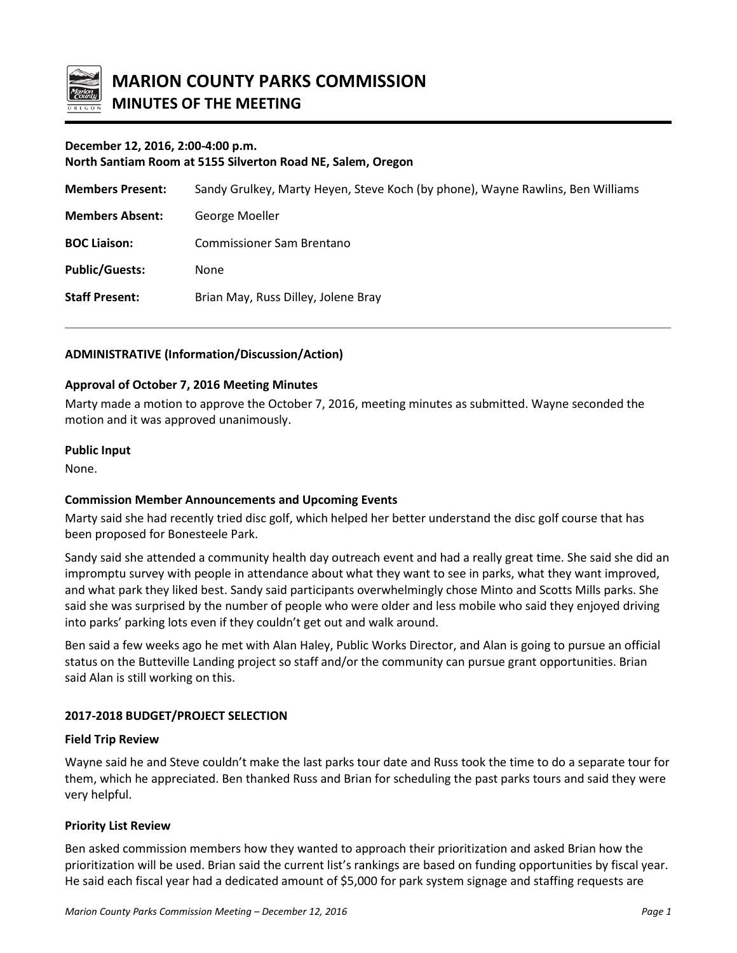

# **December 12, 2016, 2:00-4:00 p.m.**

**North Santiam Room at 5155 Silverton Road NE, Salem, Oregon**

| <b>Members Present:</b> | Sandy Grulkey, Marty Heyen, Steve Koch (by phone), Wayne Rawlins, Ben Williams |
|-------------------------|--------------------------------------------------------------------------------|
| <b>Members Absent:</b>  | George Moeller                                                                 |
| <b>BOC Liaison:</b>     | <b>Commissioner Sam Brentano</b>                                               |
| <b>Public/Guests:</b>   | <b>None</b>                                                                    |
| <b>Staff Present:</b>   | Brian May, Russ Dilley, Jolene Bray                                            |
|                         |                                                                                |

### **ADMINISTRATIVE (Information/Discussion/Action)**

#### **Approval of October 7, 2016 Meeting Minutes**

Marty made a motion to approve the October 7, 2016, meeting minutes as submitted. Wayne seconded the motion and it was approved unanimously.

#### **Public Input**

None.

#### **Commission Member Announcements and Upcoming Events**

Marty said she had recently tried disc golf, which helped her better understand the disc golf course that has been proposed for Bonesteele Park.

Sandy said she attended a community health day outreach event and had a really great time. She said she did an impromptu survey with people in attendance about what they want to see in parks, what they want improved, and what park they liked best. Sandy said participants overwhelmingly chose Minto and Scotts Mills parks. She said she was surprised by the number of people who were older and less mobile who said they enjoyed driving into parks' parking lots even if they couldn't get out and walk around.

Ben said a few weeks ago he met with Alan Haley, Public Works Director, and Alan is going to pursue an official status on the Butteville Landing project so staff and/or the community can pursue grant opportunities. Brian said Alan is still working on this.

## **2017-2018 BUDGET/PROJECT SELECTION**

#### **Field Trip Review**

Wayne said he and Steve couldn't make the last parks tour date and Russ took the time to do a separate tour for them, which he appreciated. Ben thanked Russ and Brian for scheduling the past parks tours and said they were very helpful.

#### **Priority List Review**

Ben asked commission members how they wanted to approach their prioritization and asked Brian how the prioritization will be used. Brian said the current list's rankings are based on funding opportunities by fiscal year. He said each fiscal year had a dedicated amount of \$5,000 for park system signage and staffing requests are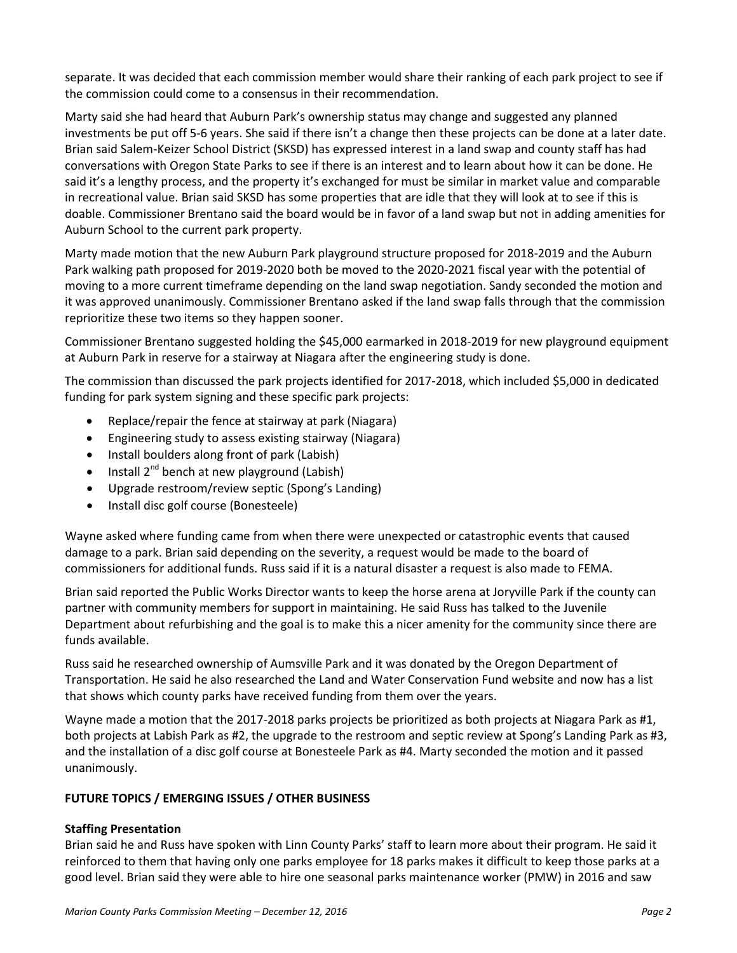separate. It was decided that each commission member would share their ranking of each park project to see if the commission could come to a consensus in their recommendation.

Marty said she had heard that Auburn Park's ownership status may change and suggested any planned investments be put off 5-6 years. She said if there isn't a change then these projects can be done at a later date. Brian said Salem-Keizer School District (SKSD) has expressed interest in a land swap and county staff has had conversations with Oregon State Parks to see if there is an interest and to learn about how it can be done. He said it's a lengthy process, and the property it's exchanged for must be similar in market value and comparable in recreational value. Brian said SKSD has some properties that are idle that they will look at to see if this is doable. Commissioner Brentano said the board would be in favor of a land swap but not in adding amenities for Auburn School to the current park property.

Marty made motion that the new Auburn Park playground structure proposed for 2018-2019 and the Auburn Park walking path proposed for 2019-2020 both be moved to the 2020-2021 fiscal year with the potential of moving to a more current timeframe depending on the land swap negotiation. Sandy seconded the motion and it was approved unanimously. Commissioner Brentano asked if the land swap falls through that the commission reprioritize these two items so they happen sooner.

Commissioner Brentano suggested holding the \$45,000 earmarked in 2018-2019 for new playground equipment at Auburn Park in reserve for a stairway at Niagara after the engineering study is done.

The commission than discussed the park projects identified for 2017-2018, which included \$5,000 in dedicated funding for park system signing and these specific park projects:

- Replace/repair the fence at stairway at park (Niagara)
- Engineering study to assess existing stairway (Niagara)
- Install boulders along front of park (Labish)
- Install  $2^{nd}$  bench at new playground (Labish)
- Upgrade restroom/review septic (Spong's Landing)
- Install disc golf course (Bonesteele)

Wayne asked where funding came from when there were unexpected or catastrophic events that caused damage to a park. Brian said depending on the severity, a request would be made to the board of commissioners for additional funds. Russ said if it is a natural disaster a request is also made to FEMA.

Brian said reported the Public Works Director wants to keep the horse arena at Joryville Park if the county can partner with community members for support in maintaining. He said Russ has talked to the Juvenile Department about refurbishing and the goal is to make this a nicer amenity for the community since there are funds available.

Russ said he researched ownership of Aumsville Park and it was donated by the Oregon Department of Transportation. He said he also researched the Land and Water Conservation Fund website and now has a list that shows which county parks have received funding from them over the years.

Wayne made a motion that the 2017-2018 parks projects be prioritized as both projects at Niagara Park as #1, both projects at Labish Park as #2, the upgrade to the restroom and septic review at Spong's Landing Park as #3, and the installation of a disc golf course at Bonesteele Park as #4. Marty seconded the motion and it passed unanimously.

## **FUTURE TOPICS / EMERGING ISSUES / OTHER BUSINESS**

#### **Staffing Presentation**

Brian said he and Russ have spoken with Linn County Parks' staff to learn more about their program. He said it reinforced to them that having only one parks employee for 18 parks makes it difficult to keep those parks at a good level. Brian said they were able to hire one seasonal parks maintenance worker (PMW) in 2016 and saw